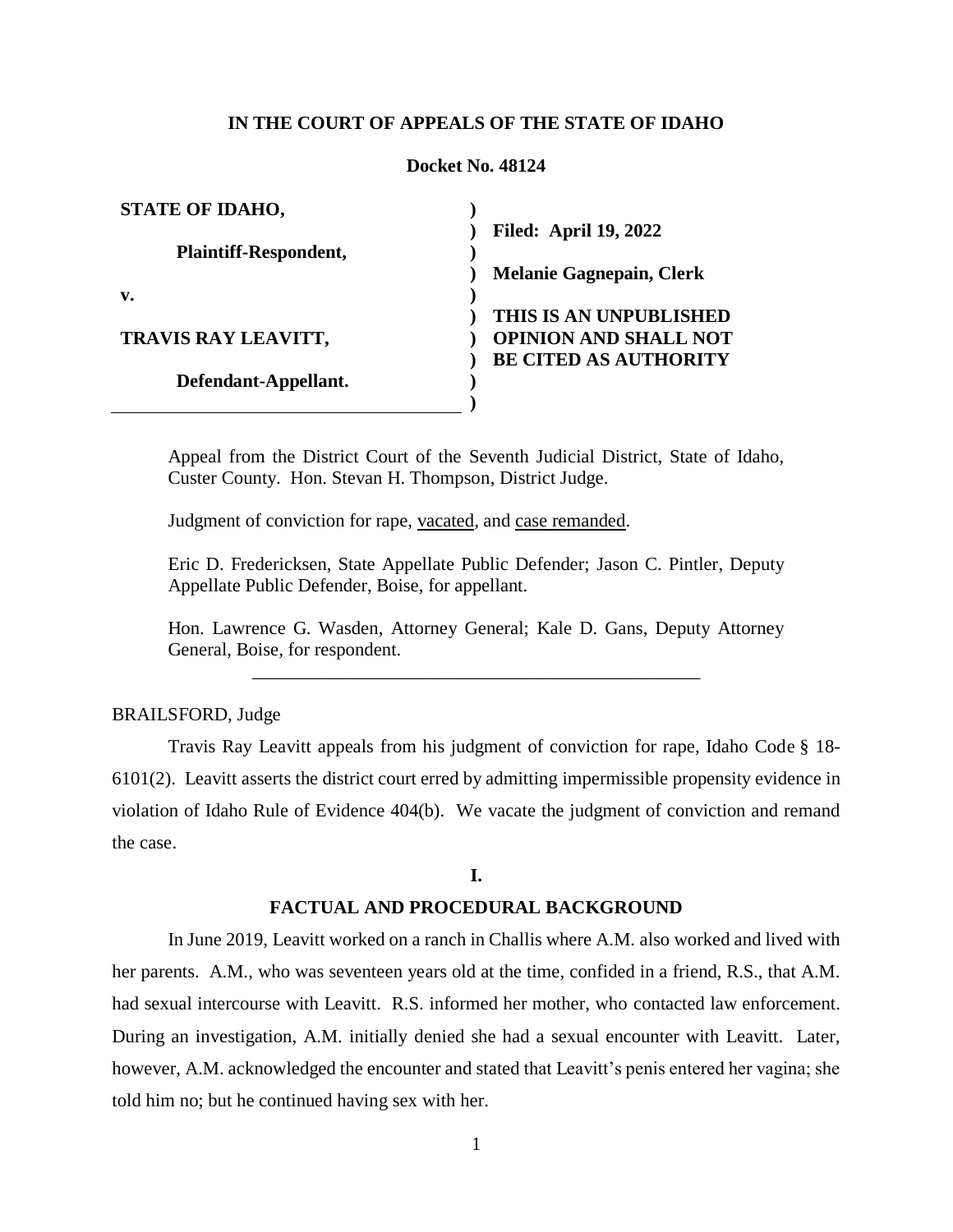# **IN THE COURT OF APPEALS OF THE STATE OF IDAHO**

#### **Docket No. 48124**

| <b>STATE OF IDAHO,</b>       |                                 |
|------------------------------|---------------------------------|
|                              | <b>Filed: April 19, 2022</b>    |
| <b>Plaintiff-Respondent,</b> |                                 |
|                              | <b>Melanie Gagnepain, Clerk</b> |
| v.                           |                                 |
|                              | THIS IS AN UNPUBLISHED          |
| <b>TRAVIS RAY LEAVITT,</b>   | <b>OPINION AND SHALL NOT</b>    |
|                              | <b>BE CITED AS AUTHORITY</b>    |
| Defendant-Appellant.         |                                 |
|                              |                                 |

Appeal from the District Court of the Seventh Judicial District, State of Idaho, Custer County. Hon. Stevan H. Thompson, District Judge.

Judgment of conviction for rape, vacated, and case remanded.

Eric D. Fredericksen, State Appellate Public Defender; Jason C. Pintler, Deputy Appellate Public Defender, Boise, for appellant.

Hon. Lawrence G. Wasden, Attorney General; Kale D. Gans, Deputy Attorney General, Boise, for respondent. \_\_\_\_\_\_\_\_\_\_\_\_\_\_\_\_\_\_\_\_\_\_\_\_\_\_\_\_\_\_\_\_\_\_\_\_\_\_\_\_\_\_\_\_\_\_\_\_

## BRAILSFORD, Judge

Travis Ray Leavitt appeals from his judgment of conviction for rape, Idaho Code § 18- 6101(2). Leavitt asserts the district court erred by admitting impermissible propensity evidence in violation of Idaho Rule of Evidence 404(b). We vacate the judgment of conviction and remand the case.

#### **I.**

### **FACTUAL AND PROCEDURAL BACKGROUND**

In June 2019, Leavitt worked on a ranch in Challis where A.M. also worked and lived with her parents. A.M., who was seventeen years old at the time, confided in a friend, R.S., that A.M. had sexual intercourse with Leavitt. R.S. informed her mother, who contacted law enforcement. During an investigation, A.M. initially denied she had a sexual encounter with Leavitt. Later, however, A.M. acknowledged the encounter and stated that Leavitt's penis entered her vagina; she told him no; but he continued having sex with her.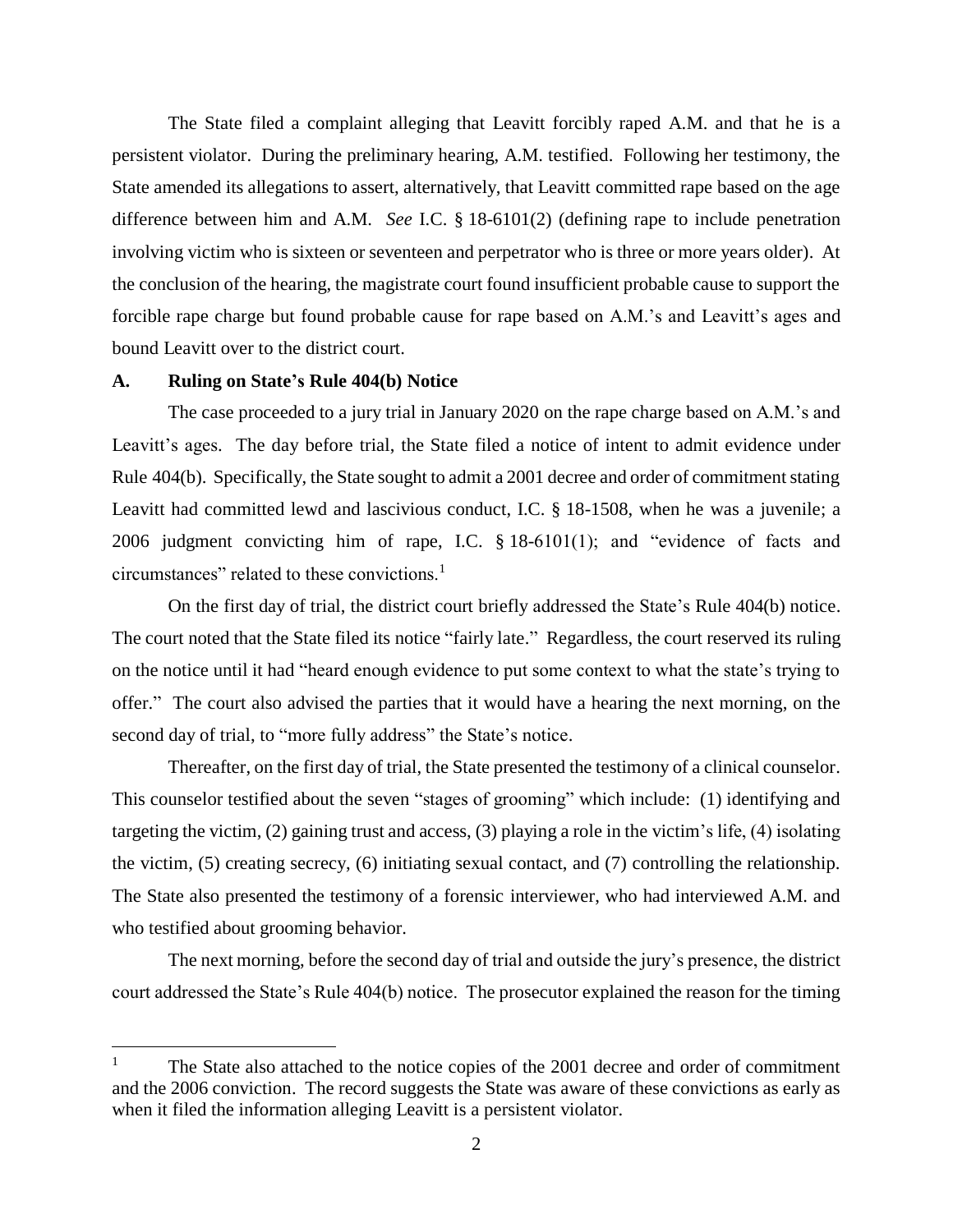The State filed a complaint alleging that Leavitt forcibly raped A.M. and that he is a persistent violator. During the preliminary hearing, A.M. testified. Following her testimony, the State amended its allegations to assert, alternatively, that Leavitt committed rape based on the age difference between him and A.M. *See* I.C. § 18-6101(2) (defining rape to include penetration involving victim who is sixteen or seventeen and perpetrator who is three or more years older). At the conclusion of the hearing, the magistrate court found insufficient probable cause to support the forcible rape charge but found probable cause for rape based on A.M.'s and Leavitt's ages and bound Leavitt over to the district court.

### **A. Ruling on State's Rule 404(b) Notice**

 $\overline{a}$ 

The case proceeded to a jury trial in January 2020 on the rape charge based on A.M.'s and Leavitt's ages. The day before trial, the State filed a notice of intent to admit evidence under Rule 404(b). Specifically, the State sought to admit a 2001 decree and order of commitment stating Leavitt had committed lewd and lascivious conduct, I.C. § 18-1508, when he was a juvenile; a 2006 judgment convicting him of rape, I.C. § 18-6101(1); and "evidence of facts and circumstances" related to these convictions.<sup>1</sup>

On the first day of trial, the district court briefly addressed the State's Rule 404(b) notice. The court noted that the State filed its notice "fairly late." Regardless, the court reserved its ruling on the notice until it had "heard enough evidence to put some context to what the state's trying to offer." The court also advised the parties that it would have a hearing the next morning, on the second day of trial, to "more fully address" the State's notice.

Thereafter, on the first day of trial, the State presented the testimony of a clinical counselor. This counselor testified about the seven "stages of grooming" which include: (1) identifying and targeting the victim, (2) gaining trust and access, (3) playing a role in the victim's life, (4) isolating the victim, (5) creating secrecy, (6) initiating sexual contact, and (7) controlling the relationship. The State also presented the testimony of a forensic interviewer, who had interviewed A.M. and who testified about grooming behavior.

The next morning, before the second day of trial and outside the jury's presence, the district court addressed the State's Rule 404(b) notice. The prosecutor explained the reason for the timing

<sup>&</sup>lt;sup>1</sup> The State also attached to the notice copies of the 2001 decree and order of commitment and the 2006 conviction. The record suggests the State was aware of these convictions as early as when it filed the information alleging Leavitt is a persistent violator.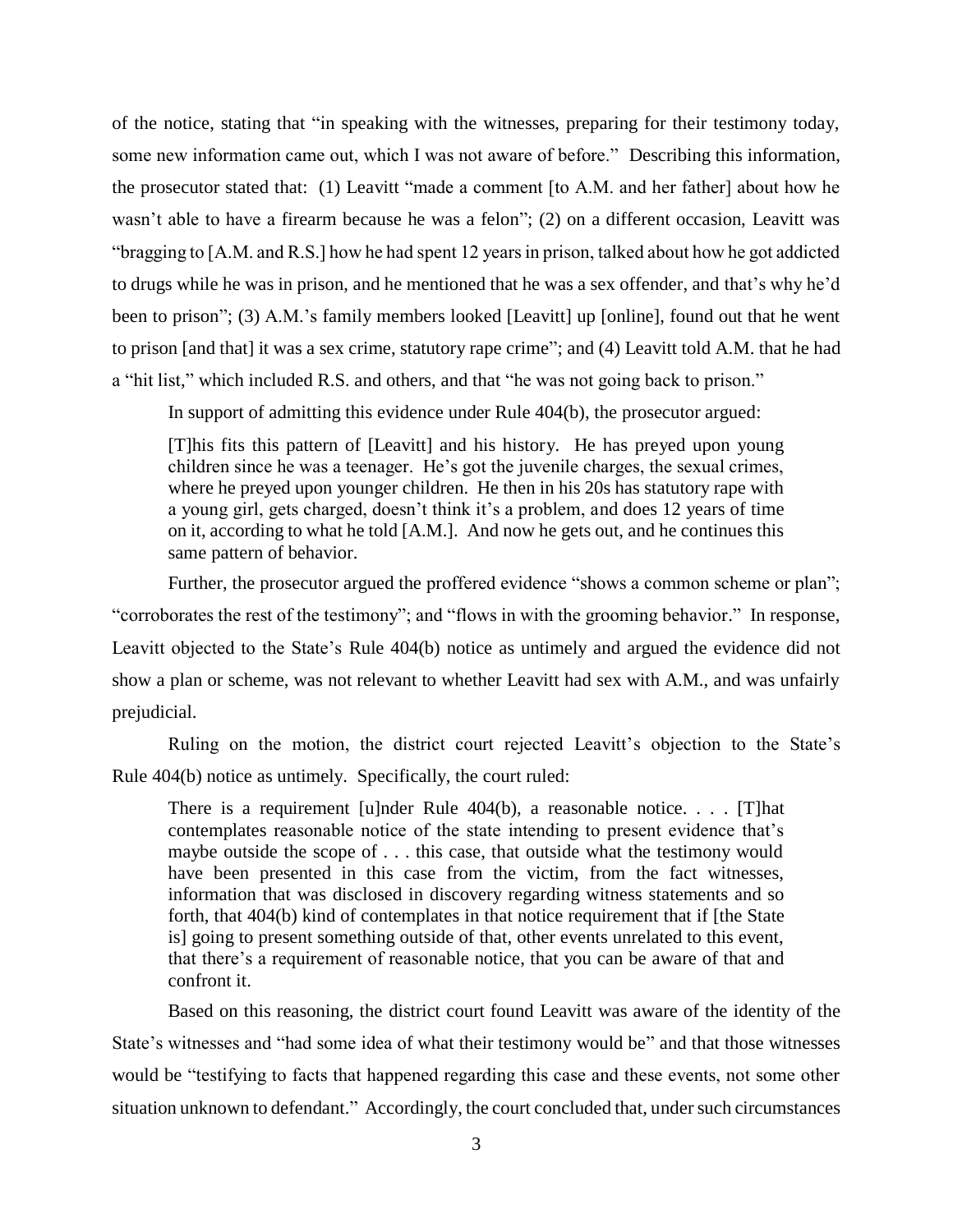of the notice, stating that "in speaking with the witnesses, preparing for their testimony today, some new information came out, which I was not aware of before." Describing this information, the prosecutor stated that: (1) Leavitt "made a comment [to A.M. and her father] about how he wasn't able to have a firearm because he was a felon"; (2) on a different occasion, Leavitt was "bragging to [A.M. and R.S.] how he had spent 12 years in prison, talked about how he got addicted to drugs while he was in prison, and he mentioned that he was a sex offender, and that's why he'd been to prison"; (3) A.M.'s family members looked [Leavitt] up [online], found out that he went to prison [and that] it was a sex crime, statutory rape crime"; and (4) Leavitt told A.M. that he had a "hit list," which included R.S. and others, and that "he was not going back to prison."

In support of admitting this evidence under Rule 404(b), the prosecutor argued:

[T]his fits this pattern of [Leavitt] and his history. He has preyed upon young children since he was a teenager. He's got the juvenile charges, the sexual crimes, where he preyed upon younger children. He then in his 20s has statutory rape with a young girl, gets charged, doesn't think it's a problem, and does 12 years of time on it, according to what he told [A.M.]. And now he gets out, and he continues this same pattern of behavior.

Further, the prosecutor argued the proffered evidence "shows a common scheme or plan"; "corroborates the rest of the testimony"; and "flows in with the grooming behavior." In response, Leavitt objected to the State's Rule 404(b) notice as untimely and argued the evidence did not show a plan or scheme, was not relevant to whether Leavitt had sex with A.M., and was unfairly prejudicial.

Ruling on the motion, the district court rejected Leavitt's objection to the State's Rule 404(b) notice as untimely. Specifically, the court ruled:

There is a requirement [u]nder Rule 404(b), a reasonable notice. . . . [T]hat contemplates reasonable notice of the state intending to present evidence that's maybe outside the scope of . . . this case, that outside what the testimony would have been presented in this case from the victim, from the fact witnesses, information that was disclosed in discovery regarding witness statements and so forth, that 404(b) kind of contemplates in that notice requirement that if [the State is] going to present something outside of that, other events unrelated to this event, that there's a requirement of reasonable notice, that you can be aware of that and confront it.

Based on this reasoning, the district court found Leavitt was aware of the identity of the State's witnesses and "had some idea of what their testimony would be" and that those witnesses would be "testifying to facts that happened regarding this case and these events, not some other situation unknown to defendant." Accordingly, the court concluded that, under such circumstances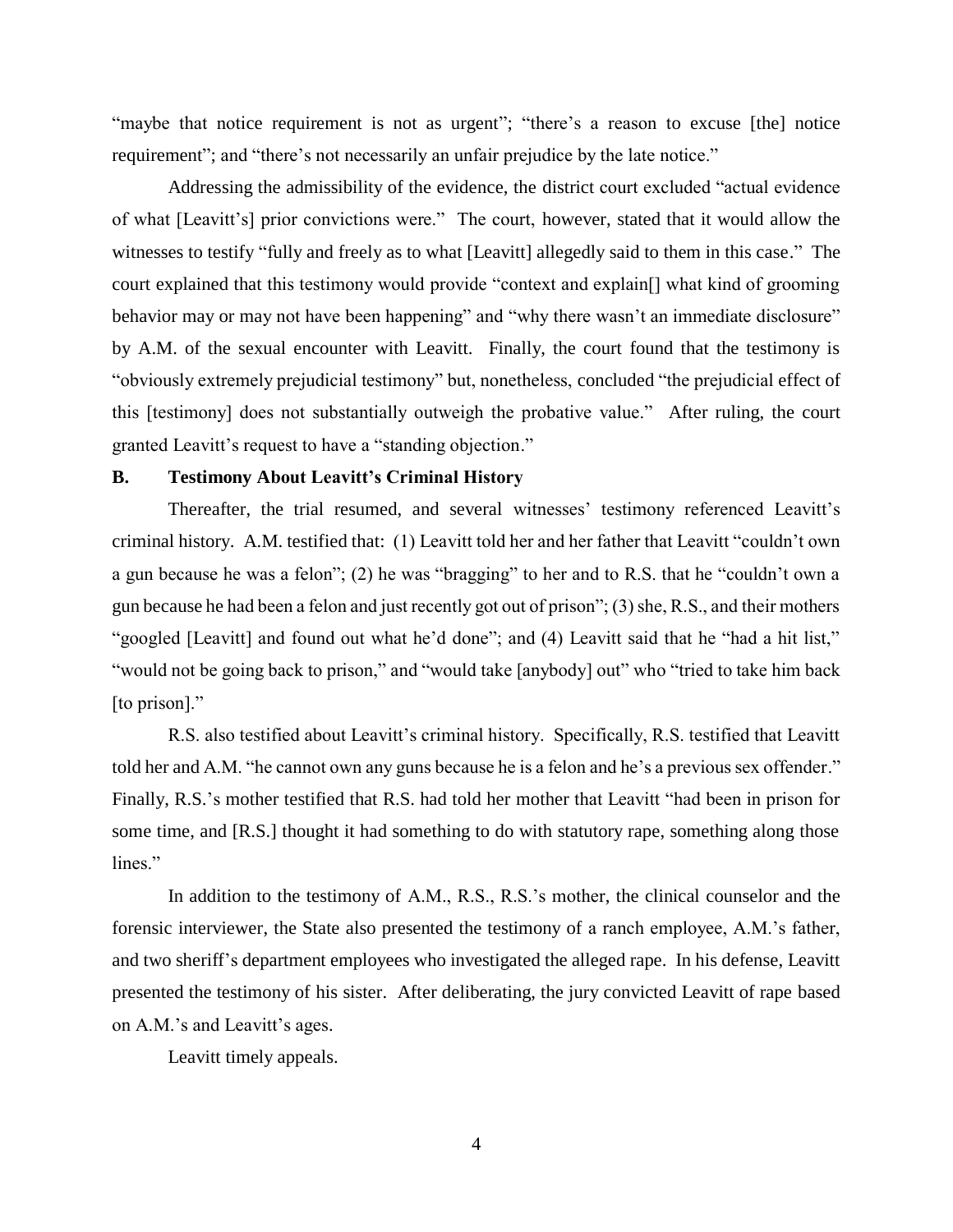"maybe that notice requirement is not as urgent"; "there's a reason to excuse [the] notice requirement"; and "there's not necessarily an unfair prejudice by the late notice."

Addressing the admissibility of the evidence, the district court excluded "actual evidence of what [Leavitt's] prior convictions were." The court, however, stated that it would allow the witnesses to testify "fully and freely as to what [Leavitt] allegedly said to them in this case." The court explained that this testimony would provide "context and explain[] what kind of grooming behavior may or may not have been happening" and "why there wasn't an immediate disclosure" by A.M. of the sexual encounter with Leavitt. Finally, the court found that the testimony is "obviously extremely prejudicial testimony" but, nonetheless, concluded "the prejudicial effect of this [testimony] does not substantially outweigh the probative value." After ruling, the court granted Leavitt's request to have a "standing objection."

### **B. Testimony About Leavitt's Criminal History**

Thereafter, the trial resumed, and several witnesses' testimony referenced Leavitt's criminal history. A.M. testified that: (1) Leavitt told her and her father that Leavitt "couldn't own a gun because he was a felon"; (2) he was "bragging" to her and to R.S. that he "couldn't own a gun because he had been a felon and just recently got out of prison"; (3) she, R.S., and their mothers "googled [Leavitt] and found out what he'd done"; and (4) Leavitt said that he "had a hit list," "would not be going back to prison," and "would take [anybody] out" who "tried to take him back [to prison]."

R.S. also testified about Leavitt's criminal history. Specifically, R.S. testified that Leavitt told her and A.M. "he cannot own any guns because he is a felon and he's a previous sex offender." Finally, R.S.'s mother testified that R.S. had told her mother that Leavitt "had been in prison for some time, and [R.S.] thought it had something to do with statutory rape, something along those lines."

In addition to the testimony of A.M., R.S., R.S.'s mother, the clinical counselor and the forensic interviewer, the State also presented the testimony of a ranch employee, A.M.'s father, and two sheriff's department employees who investigated the alleged rape. In his defense, Leavitt presented the testimony of his sister. After deliberating, the jury convicted Leavitt of rape based on A.M.'s and Leavitt's ages.

Leavitt timely appeals.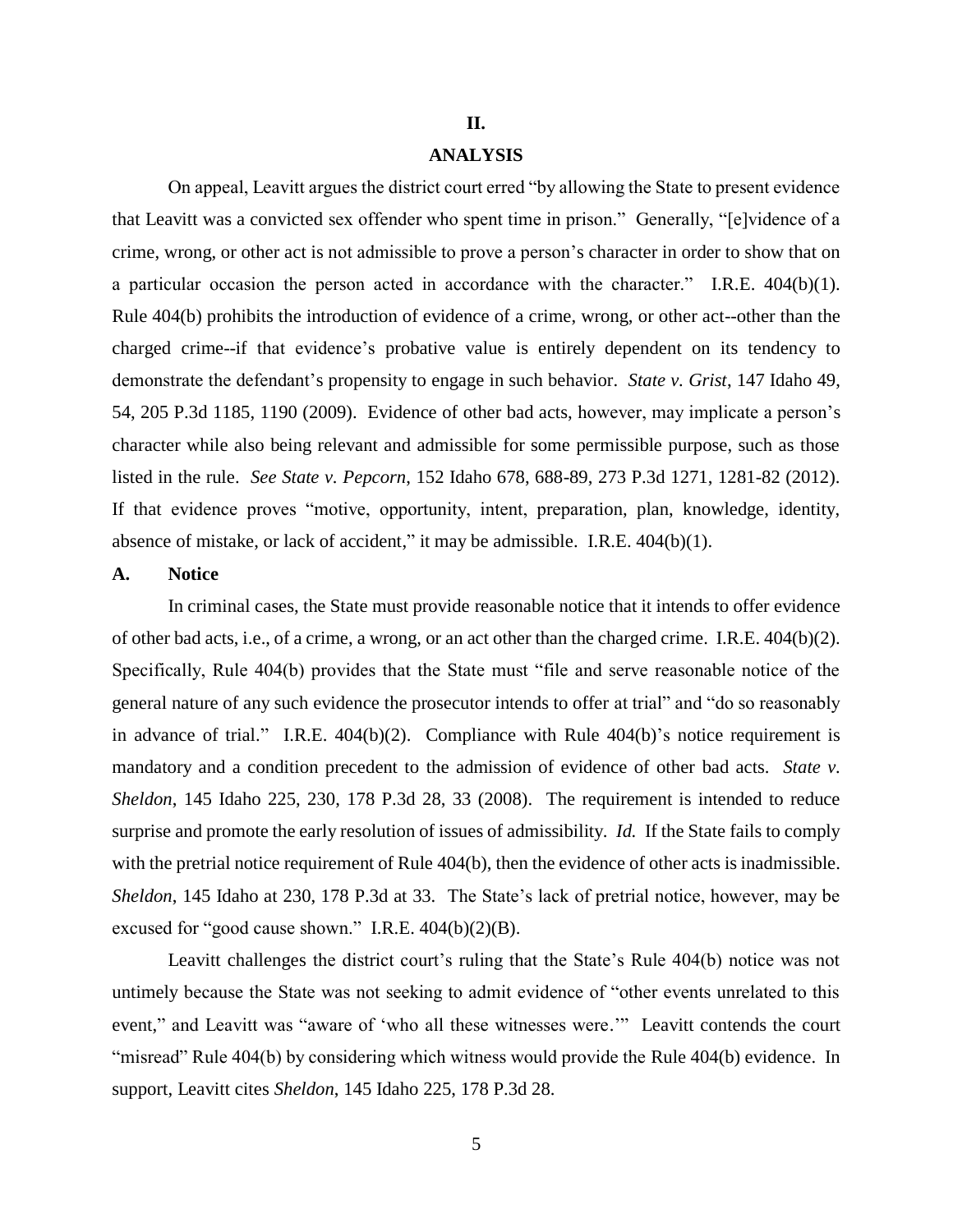### **II.**

## **ANALYSIS**

On appeal, Leavitt argues the district court erred "by allowing the State to present evidence that Leavitt was a convicted sex offender who spent time in prison." Generally, "[e]vidence of a crime, wrong, or other act is not admissible to prove a person's character in order to show that on a particular occasion the person acted in accordance with the character." I.R.E. 404(b)(1). Rule 404(b) prohibits the introduction of evidence of a crime, wrong, or other act--other than the charged crime--if that evidence's probative value is entirely dependent on its tendency to demonstrate the defendant's propensity to engage in such behavior. *State v. Grist*, 147 Idaho 49, 54, 205 P.3d 1185, 1190 (2009). Evidence of other bad acts, however, may implicate a person's character while also being relevant and admissible for some permissible purpose, such as those listed in the rule. *See State v. Pepcorn*, 152 Idaho 678, 688-89, 273 P.3d 1271, 1281-82 (2012). If that evidence proves "motive, opportunity, intent, preparation, plan, knowledge, identity, absence of mistake, or lack of accident," it may be admissible. I.R.E. 404(b)(1).

## **A. Notice**

In criminal cases, the State must provide reasonable notice that it intends to offer evidence of other bad acts, i.e., of a crime, a wrong, or an act other than the charged crime. I.R.E. 404(b)(2). Specifically, Rule 404(b) provides that the State must "file and serve reasonable notice of the general nature of any such evidence the prosecutor intends to offer at trial" and "do so reasonably in advance of trial." I.R.E. 404(b)(2). Compliance with Rule 404(b)'s notice requirement is mandatory and a condition precedent to the admission of evidence of other bad acts. *State v. Sheldon*, 145 Idaho 225, 230, 178 P.3d 28, 33 (2008). The requirement is intended to reduce surprise and promote the early resolution of issues of admissibility. *Id.* If the State fails to comply with the pretrial notice requirement of Rule 404(b), then the evidence of other acts is inadmissible. *Sheldon*, 145 Idaho at 230, 178 P.3d at 33. The State's lack of pretrial notice, however, may be excused for "good cause shown." I.R.E.  $404(b)(2)(B)$ .

Leavitt challenges the district court's ruling that the State's Rule 404(b) notice was not untimely because the State was not seeking to admit evidence of "other events unrelated to this event," and Leavitt was "aware of 'who all these witnesses were.'" Leavitt contends the court "misread" Rule 404(b) by considering which witness would provide the Rule 404(b) evidence. In support, Leavitt cites *Sheldon*, 145 Idaho 225, 178 P.3d 28.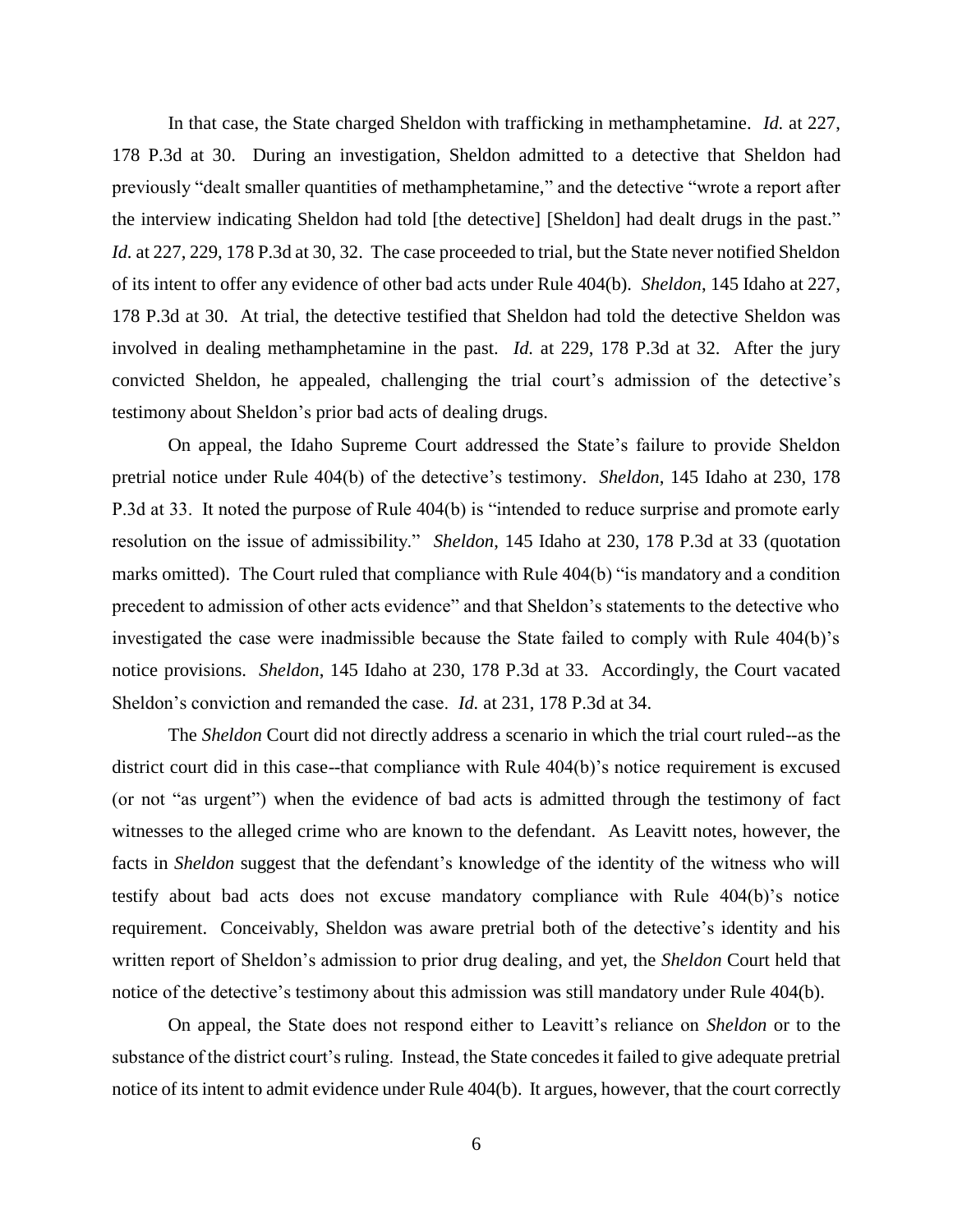In that case, the State charged Sheldon with trafficking in methamphetamine. *Id.* at 227, 178 P.3d at 30. During an investigation, Sheldon admitted to a detective that Sheldon had previously "dealt smaller quantities of methamphetamine," and the detective "wrote a report after the interview indicating Sheldon had told [the detective] [Sheldon] had dealt drugs in the past." *Id.* at 227, 229, 178 P.3d at 30, 32. The case proceeded to trial, but the State never notified Sheldon of its intent to offer any evidence of other bad acts under Rule 404(b). *Sheldon*, 145 Idaho at 227, 178 P.3d at 30. At trial, the detective testified that Sheldon had told the detective Sheldon was involved in dealing methamphetamine in the past. *Id.* at 229, 178 P.3d at 32. After the jury convicted Sheldon, he appealed, challenging the trial court's admission of the detective's testimony about Sheldon's prior bad acts of dealing drugs.

On appeal, the Idaho Supreme Court addressed the State's failure to provide Sheldon pretrial notice under Rule 404(b) of the detective's testimony. *Sheldon*, 145 Idaho at 230, 178 P.3d at 33. It noted the purpose of Rule 404(b) is "intended to reduce surprise and promote early resolution on the issue of admissibility." *Sheldon*, 145 Idaho at 230, 178 P.3d at 33 (quotation marks omitted). The Court ruled that compliance with Rule 404(b) "is mandatory and a condition precedent to admission of other acts evidence" and that Sheldon's statements to the detective who investigated the case were inadmissible because the State failed to comply with Rule 404(b)'s notice provisions. *Sheldon*, 145 Idaho at 230, 178 P.3d at 33. Accordingly, the Court vacated Sheldon's conviction and remanded the case. *Id.* at 231, 178 P.3d at 34.

The *Sheldon* Court did not directly address a scenario in which the trial court ruled--as the district court did in this case--that compliance with Rule 404(b)'s notice requirement is excused (or not "as urgent") when the evidence of bad acts is admitted through the testimony of fact witnesses to the alleged crime who are known to the defendant. As Leavitt notes, however, the facts in *Sheldon* suggest that the defendant's knowledge of the identity of the witness who will testify about bad acts does not excuse mandatory compliance with Rule 404(b)'s notice requirement. Conceivably, Sheldon was aware pretrial both of the detective's identity and his written report of Sheldon's admission to prior drug dealing, and yet, the *Sheldon* Court held that notice of the detective's testimony about this admission was still mandatory under Rule 404(b).

On appeal, the State does not respond either to Leavitt's reliance on *Sheldon* or to the substance of the district court's ruling. Instead, the State concedes it failed to give adequate pretrial notice of its intent to admit evidence under Rule 404(b). It argues, however, that the court correctly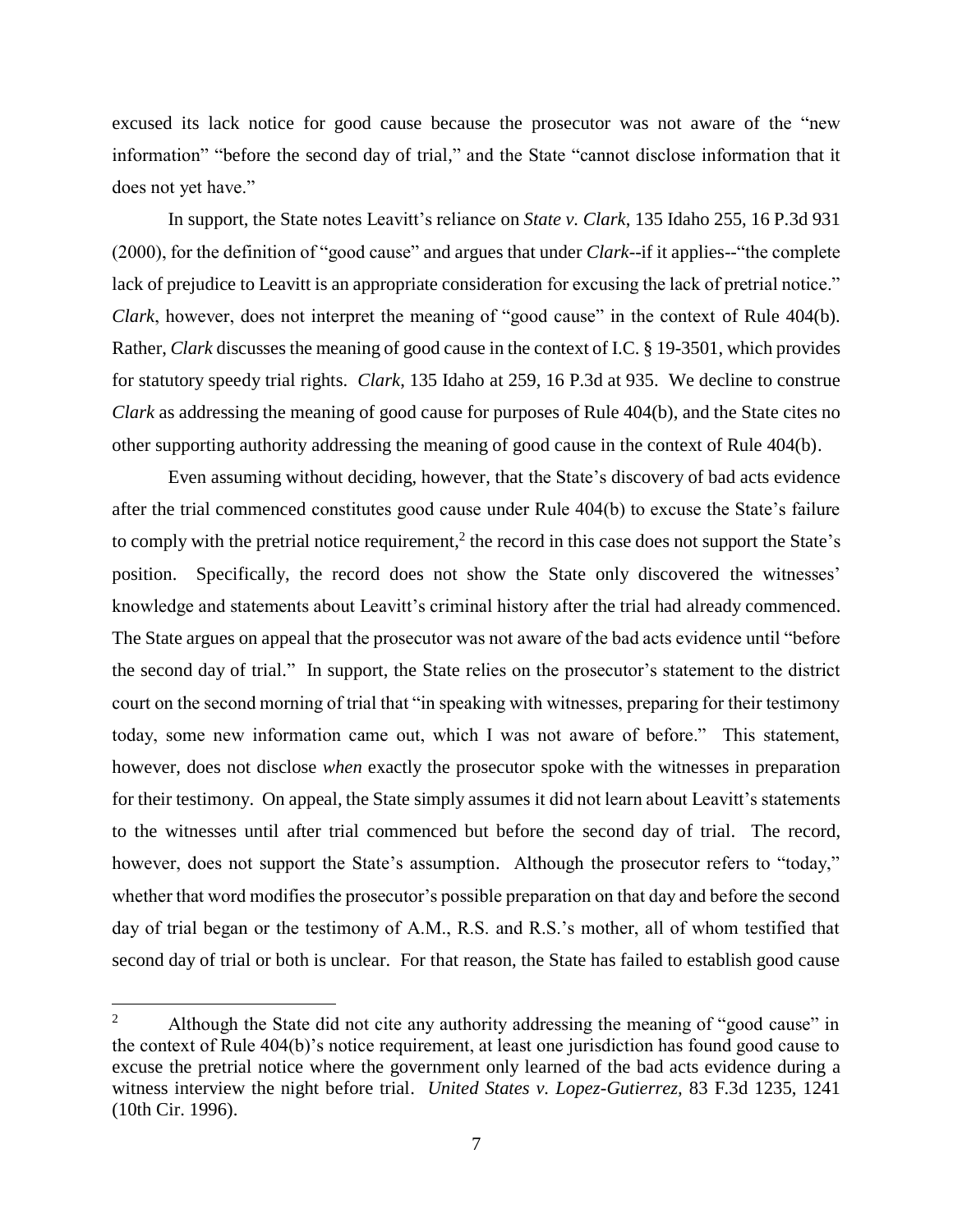excused its lack notice for good cause because the prosecutor was not aware of the "new information" "before the second day of trial," and the State "cannot disclose information that it does not yet have."

In support, the State notes Leavitt's reliance on *State v. Clark*, 135 Idaho 255, 16 P.3d 931 (2000), for the definition of "good cause" and argues that under *Clark*--if it applies--"the complete lack of prejudice to Leavitt is an appropriate consideration for excusing the lack of pretrial notice." *Clark*, however, does not interpret the meaning of "good cause" in the context of Rule 404(b). Rather, *Clark* discusses the meaning of good cause in the context of I.C. § 19-3501, which provides for statutory speedy trial rights. *Clark*, 135 Idaho at 259, 16 P.3d at 935. We decline to construe *Clark* as addressing the meaning of good cause for purposes of Rule 404(b), and the State cites no other supporting authority addressing the meaning of good cause in the context of Rule 404(b).

Even assuming without deciding, however, that the State's discovery of bad acts evidence after the trial commenced constitutes good cause under Rule 404(b) to excuse the State's failure to comply with the pretrial notice requirement,<sup>2</sup> the record in this case does not support the State's position. Specifically, the record does not show the State only discovered the witnesses' knowledge and statements about Leavitt's criminal history after the trial had already commenced. The State argues on appeal that the prosecutor was not aware of the bad acts evidence until "before the second day of trial." In support, the State relies on the prosecutor's statement to the district court on the second morning of trial that "in speaking with witnesses, preparing for their testimony today, some new information came out, which I was not aware of before." This statement, however, does not disclose *when* exactly the prosecutor spoke with the witnesses in preparation for their testimony. On appeal, the State simply assumes it did not learn about Leavitt's statements to the witnesses until after trial commenced but before the second day of trial. The record, however, does not support the State's assumption. Although the prosecutor refers to "today," whether that word modifies the prosecutor's possible preparation on that day and before the second day of trial began or the testimony of A.M., R.S. and R.S.'s mother, all of whom testified that second day of trial or both is unclear. For that reason, the State has failed to establish good cause

 $\overline{a}$ 

<sup>&</sup>lt;sup>2</sup> Although the State did not cite any authority addressing the meaning of "good cause" in the context of Rule 404(b)'s notice requirement, at least one jurisdiction has found good cause to excuse the pretrial notice where the government only learned of the bad acts evidence during a witness interview the night before trial. *[United States v. Lopez-Gutierrez,](https://1.next.westlaw.com/Link/Document/FullText?findType=Y&serNum=1996109789&pubNum=0000506&originatingDoc=I4221e1302d5811ea9076f88ee0fd553a&refType=RP&fi=co_pp_sp_506_1241&originationContext=document&transitionType=DocumentItem&ppcid=7d6db034712a472e8c6965f156fc4cf6&contextData=(sc.Keycite)#co_pp_sp_506_1241)* 83 F.3d 1235, 1241 [\(10th Cir. 1996\).](https://1.next.westlaw.com/Link/Document/FullText?findType=Y&serNum=1996109789&pubNum=0000506&originatingDoc=I4221e1302d5811ea9076f88ee0fd553a&refType=RP&fi=co_pp_sp_506_1241&originationContext=document&transitionType=DocumentItem&ppcid=7d6db034712a472e8c6965f156fc4cf6&contextData=(sc.Keycite)#co_pp_sp_506_1241)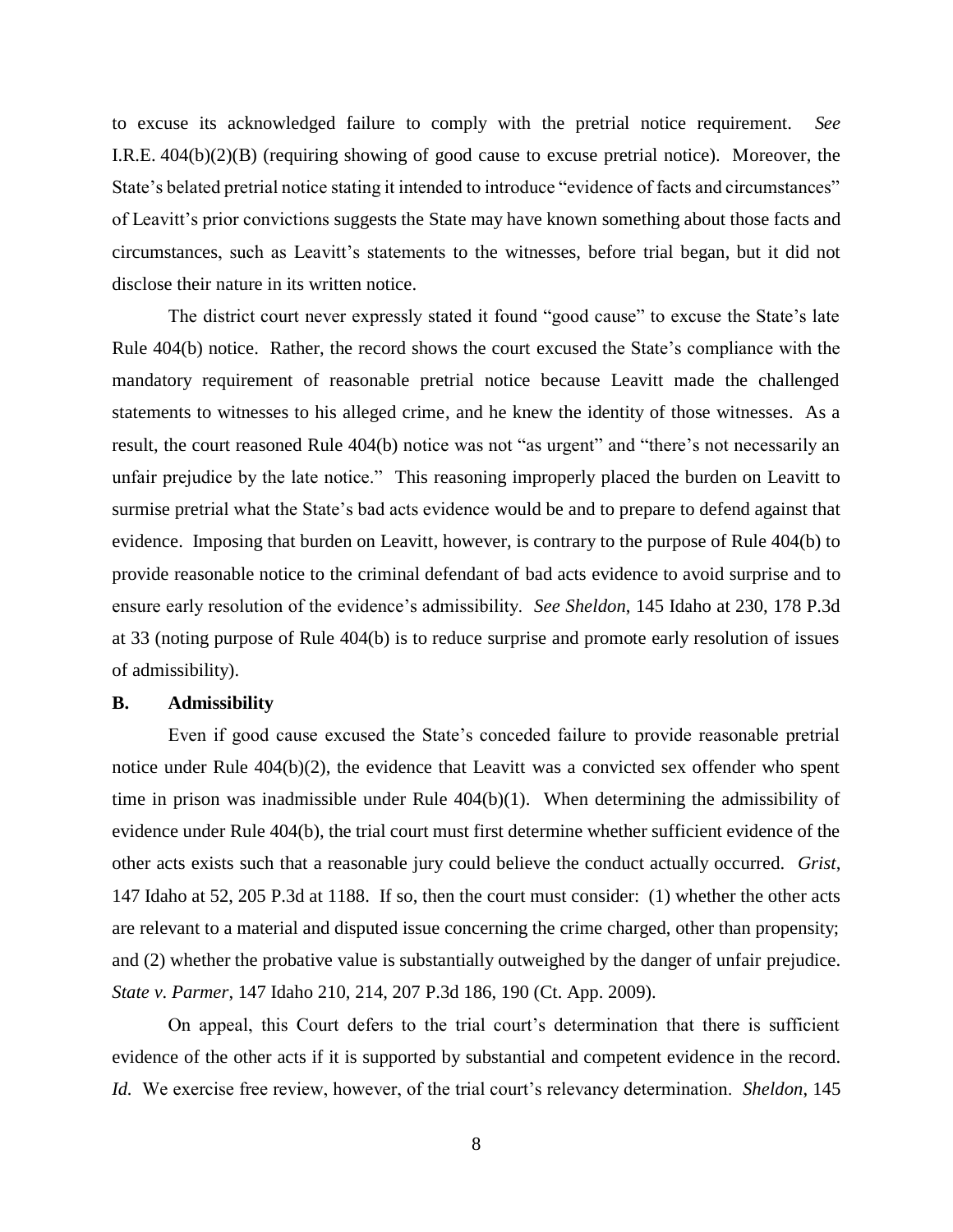to excuse its acknowledged failure to comply with the pretrial notice requirement. *See*  I.R.E. 404(b)(2)(B) (requiring showing of good cause to excuse pretrial notice). Moreover, the State's belated pretrial notice stating it intended to introduce "evidence of facts and circumstances" of Leavitt's prior convictions suggests the State may have known something about those facts and circumstances, such as Leavitt's statements to the witnesses, before trial began, but it did not disclose their nature in its written notice.

The district court never expressly stated it found "good cause" to excuse the State's late Rule 404(b) notice. Rather, the record shows the court excused the State's compliance with the mandatory requirement of reasonable pretrial notice because Leavitt made the challenged statements to witnesses to his alleged crime, and he knew the identity of those witnesses. As a result, the court reasoned Rule 404(b) notice was not "as urgent" and "there's not necessarily an unfair prejudice by the late notice." This reasoning improperly placed the burden on Leavitt to surmise pretrial what the State's bad acts evidence would be and to prepare to defend against that evidence. Imposing that burden on Leavitt, however, is contrary to the purpose of Rule 404(b) to provide reasonable notice to the criminal defendant of bad acts evidence to avoid surprise and to ensure early resolution of the evidence's admissibility. *See Sheldon*, 145 Idaho at 230, 178 P.3d at 33 (noting purpose of Rule 404(b) is to reduce surprise and promote early resolution of issues of admissibility).

### **B. Admissibility**

Even if good cause excused the State's conceded failure to provide reasonable pretrial notice under Rule 404(b)(2), the evidence that Leavitt was a convicted sex offender who spent time in prison was inadmissible under Rule 404(b)(1). When determining the admissibility of evidence under Rule 404(b), the trial court must first determine whether sufficient evidence of the other acts exists such that a reasonable jury could believe the conduct actually occurred. *Grist*, 147 Idaho at 52, 205 P.3d at 1188. If so, then the court must consider: (1) whether the other acts are relevant to a material and disputed issue concerning the crime charged, other than propensity; and (2) whether the probative value is substantially outweighed by the danger of unfair prejudice. *State v. Parmer*, 147 Idaho 210, 214, 207 P.3d 186, 190 (Ct. App. 2009).

On appeal, this Court defers to the trial court's determination that there is sufficient evidence of the other acts if it is supported by substantial and competent evidence in the record. *Id.* We exercise free review, however, of the trial court's relevancy determination. *Sheldon*, 145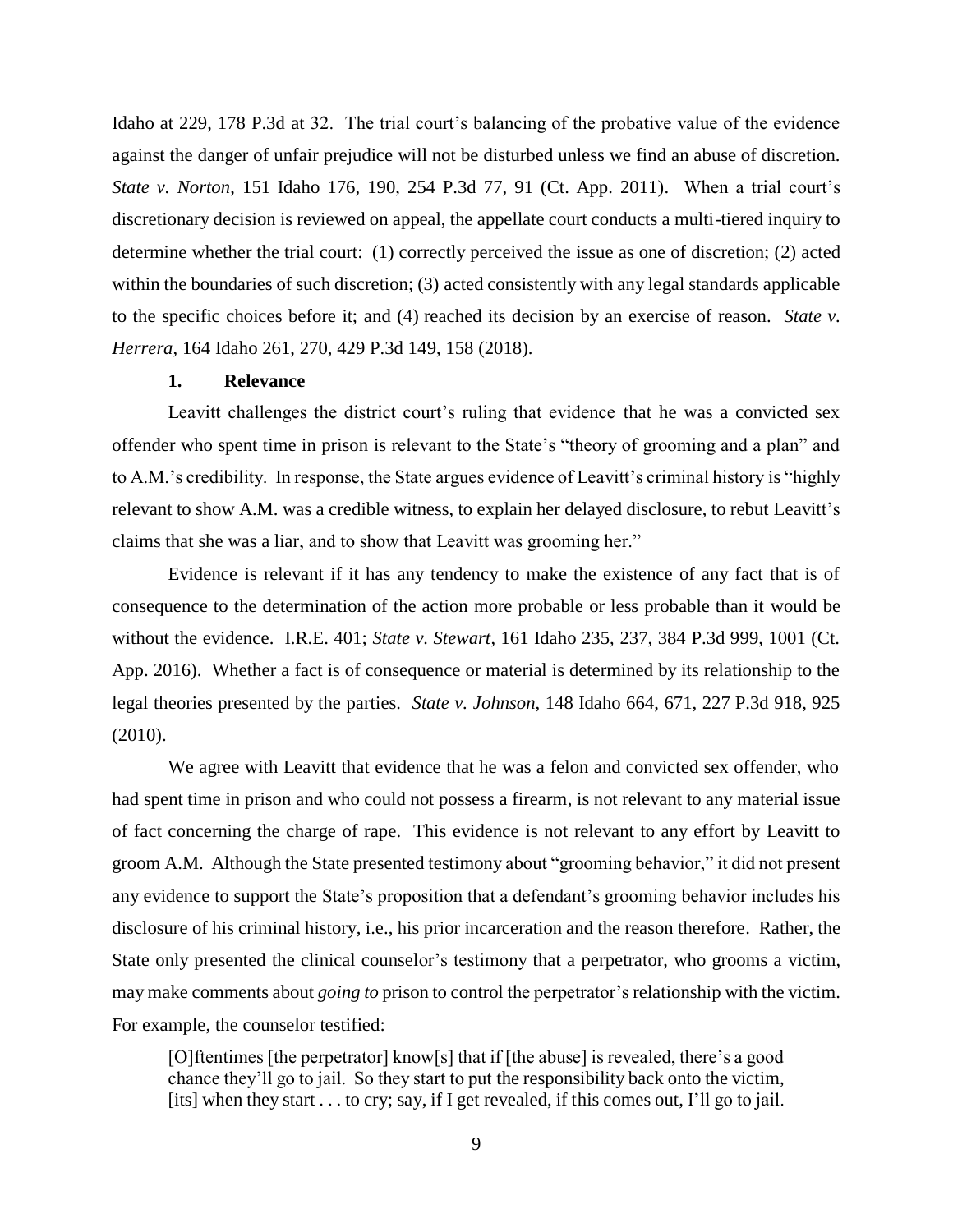Idaho at 229, 178 P.3d at 32. The trial court's balancing of the probative value of the evidence against the danger of unfair prejudice will not be disturbed unless we find an abuse of discretion. *State v. Norton*, 151 Idaho 176, 190, 254 P.3d 77, 91 (Ct. App. 2011). When a trial court's discretionary decision is reviewed on appeal, the appellate court conducts a multi-tiered inquiry to determine whether the trial court: (1) correctly perceived the issue as one of discretion; (2) acted within the boundaries of such discretion; (3) acted consistently with any legal standards applicable to the specific choices before it; and (4) reached its decision by an exercise of reason. *State v. Herrera*, 164 Idaho 261, 270, 429 P.3d 149, 158 (2018).

#### **1. Relevance**

Leavitt challenges the district court's ruling that evidence that he was a convicted sex offender who spent time in prison is relevant to the State's "theory of grooming and a plan" and to A.M.'s credibility. In response, the State argues evidence of Leavitt's criminal history is "highly relevant to show A.M. was a credible witness, to explain her delayed disclosure, to rebut Leavitt's claims that she was a liar, and to show that Leavitt was grooming her."

Evidence is relevant if it has any tendency to make the existence of any fact that is of consequence to the determination of the action more probable or less probable than it would be without the evidence. I.R.E. 401; *State v. Stewart*, 161 Idaho 235, 237, 384 P.3d 999, 1001 (Ct. App. 2016). Whether a fact is of consequence or material is determined by its relationship to the legal theories presented by the parties. *State v. Johnson*, 148 Idaho 664, 671, 227 P.3d 918, 925 (2010).

We agree with Leavitt that evidence that he was a felon and convicted sex offender, who had spent time in prison and who could not possess a firearm, is not relevant to any material issue of fact concerning the charge of rape. This evidence is not relevant to any effort by Leavitt to groom A.M. Although the State presented testimony about "grooming behavior," it did not present any evidence to support the State's proposition that a defendant's grooming behavior includes his disclosure of his criminal history, i.e., his prior incarceration and the reason therefore. Rather, the State only presented the clinical counselor's testimony that a perpetrator, who grooms a victim, may make comments about *going to* prison to control the perpetrator's relationship with the victim. For example, the counselor testified:

[O]ftentimes [the perpetrator] know[s] that if [the abuse] is revealed, there's a good chance they'll go to jail. So they start to put the responsibility back onto the victim, [its] when they start . . . to cry; say, if I get revealed, if this comes out, I'll go to jail.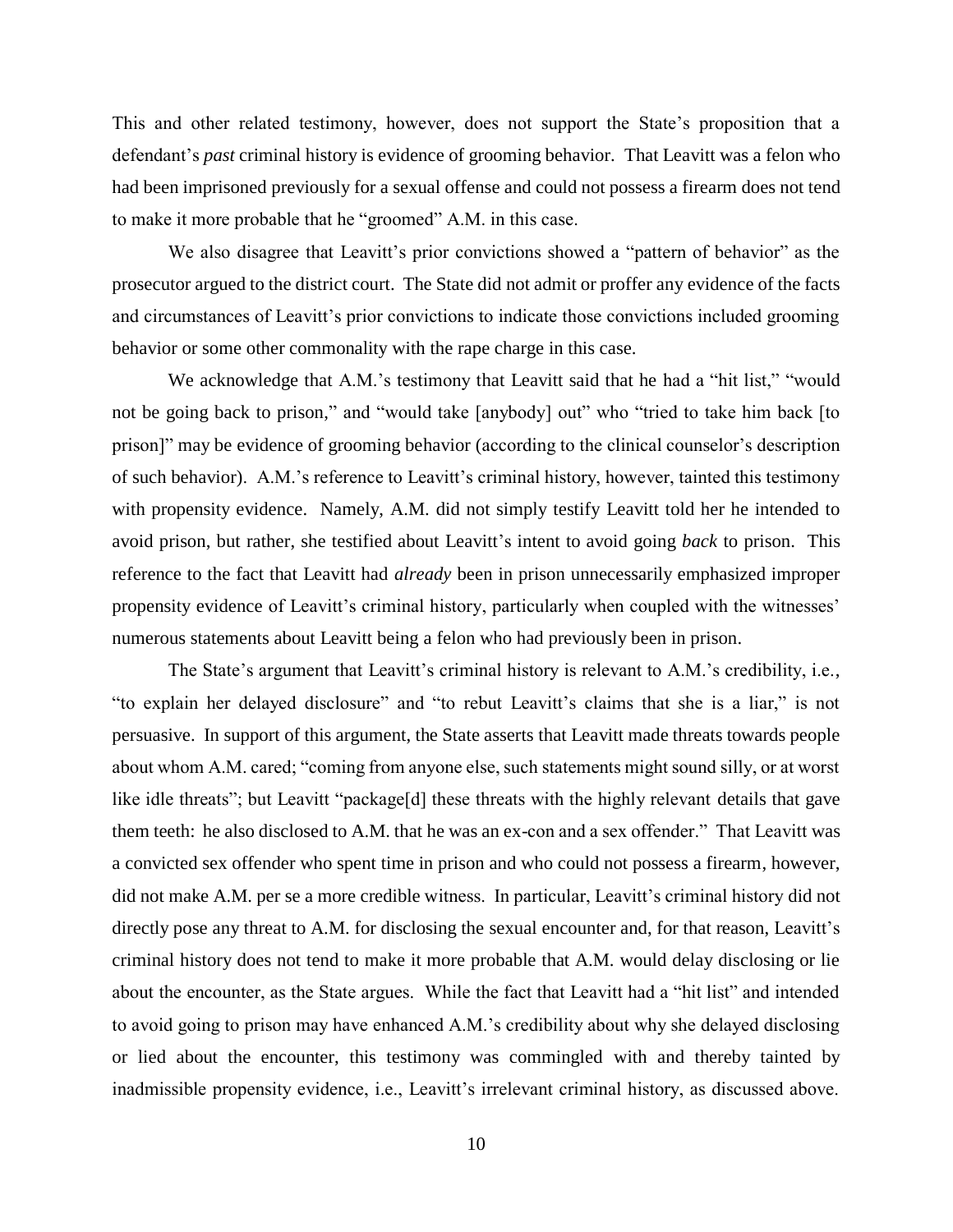This and other related testimony, however, does not support the State's proposition that a defendant's *past* criminal history is evidence of grooming behavior. That Leavitt was a felon who had been imprisoned previously for a sexual offense and could not possess a firearm does not tend to make it more probable that he "groomed" A.M. in this case.

We also disagree that Leavitt's prior convictions showed a "pattern of behavior" as the prosecutor argued to the district court. The State did not admit or proffer any evidence of the facts and circumstances of Leavitt's prior convictions to indicate those convictions included grooming behavior or some other commonality with the rape charge in this case.

We acknowledge that A.M.'s testimony that Leavitt said that he had a "hit list," "would not be going back to prison," and "would take [anybody] out" who "tried to take him back [to prison]" may be evidence of grooming behavior (according to the clinical counselor's description of such behavior). A.M.'s reference to Leavitt's criminal history, however, tainted this testimony with propensity evidence. Namely, A.M. did not simply testify Leavitt told her he intended to avoid prison, but rather, she testified about Leavitt's intent to avoid going *back* to prison. This reference to the fact that Leavitt had *already* been in prison unnecessarily emphasized improper propensity evidence of Leavitt's criminal history, particularly when coupled with the witnesses' numerous statements about Leavitt being a felon who had previously been in prison.

The State's argument that Leavitt's criminal history is relevant to A.M.'s credibility, i.e., "to explain her delayed disclosure" and "to rebut Leavitt's claims that she is a liar," is not persuasive. In support of this argument, the State asserts that Leavitt made threats towards people about whom A.M. cared; "coming from anyone else, such statements might sound silly, or at worst like idle threats"; but Leavitt "package[d] these threats with the highly relevant details that gave them teeth: he also disclosed to A.M. that he was an ex-con and a sex offender." That Leavitt was a convicted sex offender who spent time in prison and who could not possess a firearm, however, did not make A.M. per se a more credible witness. In particular, Leavitt's criminal history did not directly pose any threat to A.M. for disclosing the sexual encounter and, for that reason, Leavitt's criminal history does not tend to make it more probable that A.M. would delay disclosing or lie about the encounter, as the State argues. While the fact that Leavitt had a "hit list" and intended to avoid going to prison may have enhanced A.M.'s credibility about why she delayed disclosing or lied about the encounter, this testimony was commingled with and thereby tainted by inadmissible propensity evidence, i.e., Leavitt's irrelevant criminal history, as discussed above.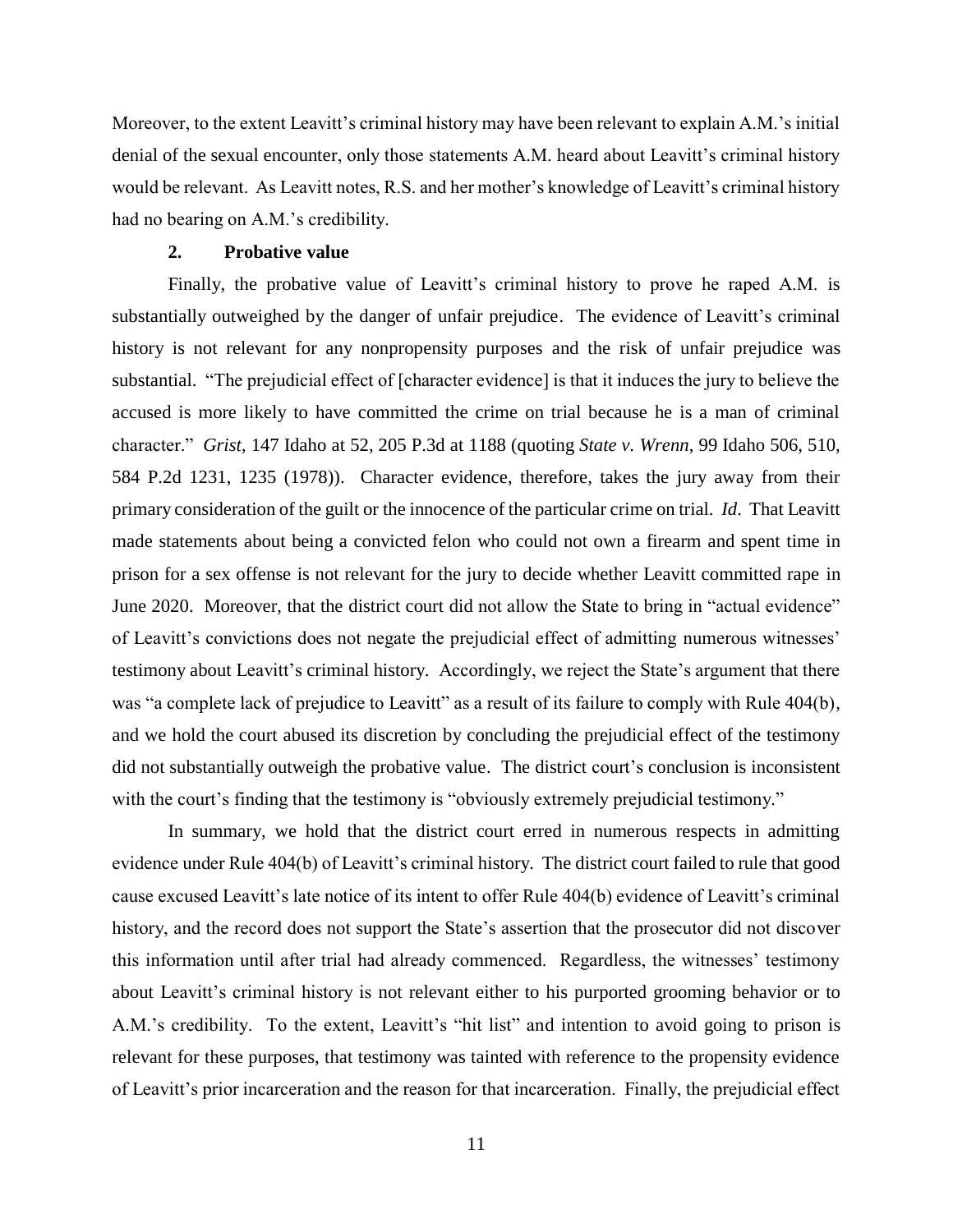Moreover, to the extent Leavitt's criminal history may have been relevant to explain A.M.'s initial denial of the sexual encounter, only those statements A.M. heard about Leavitt's criminal history would be relevant. As Leavitt notes, R.S. and her mother's knowledge of Leavitt's criminal history had no bearing on A.M.'s credibility.

# **2. Probative value**

Finally, the probative value of Leavitt's criminal history to prove he raped A.M. is substantially outweighed by the danger of unfair prejudice. The evidence of Leavitt's criminal history is not relevant for any nonpropensity purposes and the risk of unfair prejudice was substantial. "The prejudicial effect of [character evidence] is that it induces the jury to believe the accused is more likely to have committed the crime on trial because he is a man of criminal character." *Grist*, 147 Idaho at 52, 205 P.3d at 1188 (quoting *State v. Wrenn*, 99 Idaho 506, 510, 584 P.2d 1231, 1235 (1978)). Character evidence, therefore, takes the jury away from their primary consideration of the guilt or the innocence of the particular crime on trial. *Id*. That Leavitt made statements about being a convicted felon who could not own a firearm and spent time in prison for a sex offense is not relevant for the jury to decide whether Leavitt committed rape in June 2020. Moreover, that the district court did not allow the State to bring in "actual evidence" of Leavitt's convictions does not negate the prejudicial effect of admitting numerous witnesses' testimony about Leavitt's criminal history. Accordingly, we reject the State's argument that there was "a complete lack of prejudice to Leavitt" as a result of its failure to comply with Rule 404(b), and we hold the court abused its discretion by concluding the prejudicial effect of the testimony did not substantially outweigh the probative value. The district court's conclusion is inconsistent with the court's finding that the testimony is "obviously extremely prejudicial testimony."

In summary, we hold that the district court erred in numerous respects in admitting evidence under Rule 404(b) of Leavitt's criminal history. The district court failed to rule that good cause excused Leavitt's late notice of its intent to offer Rule 404(b) evidence of Leavitt's criminal history, and the record does not support the State's assertion that the prosecutor did not discover this information until after trial had already commenced. Regardless, the witnesses' testimony about Leavitt's criminal history is not relevant either to his purported grooming behavior or to A.M.'s credibility. To the extent, Leavitt's "hit list" and intention to avoid going to prison is relevant for these purposes, that testimony was tainted with reference to the propensity evidence of Leavitt's prior incarceration and the reason for that incarceration. Finally, the prejudicial effect